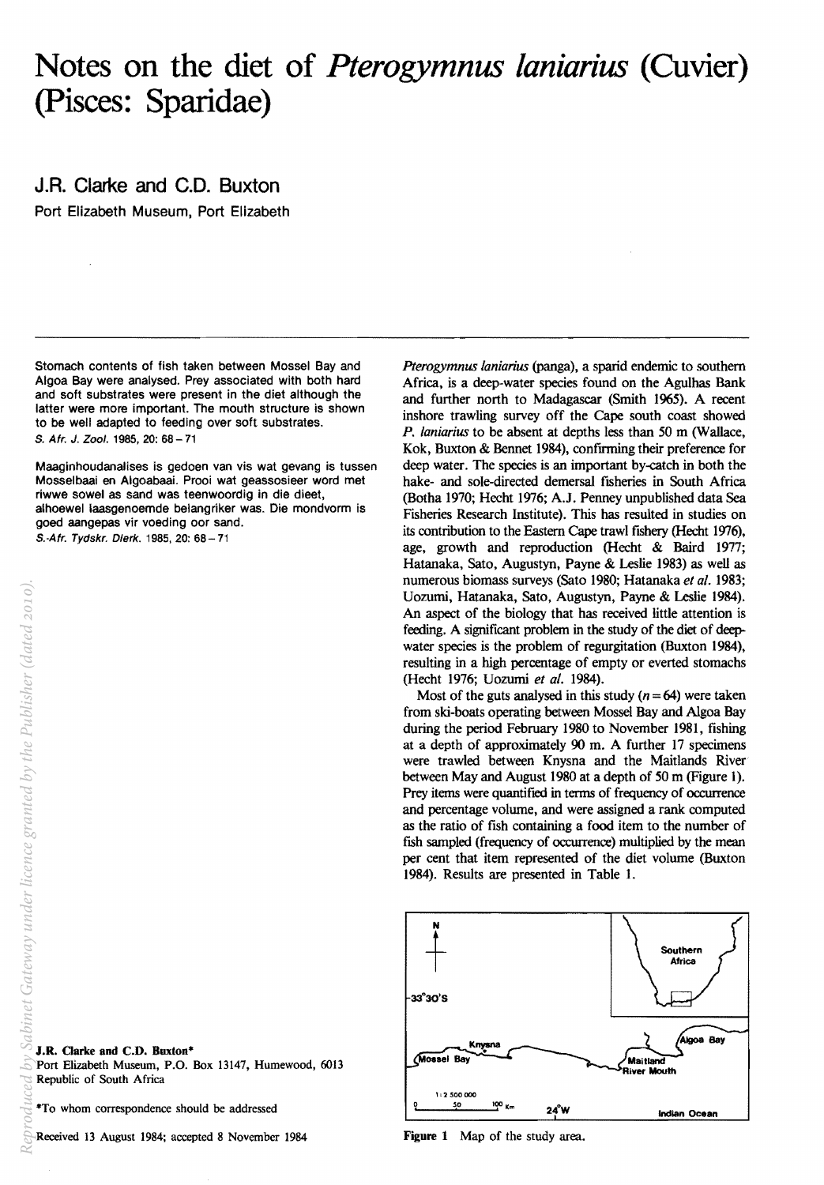## **Notes on the diet of** *Pterogymnus laniarius* **(Cuvier) (pisces: Sparidae)**

## **J.R. Clarke and C.D. Buxton**

Port Elizabeth Museum, Port Elizabeth

Stomach contents of fish taken between Mossel Bay and Algoa Bay were analysed. Prey associated with both hard and soft substrates were present in the diet although the latter were more important. The mouth structure is shown to be well adapted to feeding over soft substrates. S. Afr. J. Zool. 1985,20: 68-71

Maaginhoudanalises is gedoen van vis wat gevang is tussen Mosselbaai en Algoabaai. Prooi wat geassosieer word met riwwe sowel as sand was teenwoordig in die dieet, alhoewel laasgenoemde belangriker was. Die mondvorm is goed aangepas vir voeding oor sand. S.-Afr. Tydskr. Dierk. 1985, 20: 68 - 71

*Pterogymnus laniarius* (panga), a sparid endemic to southern Africa, is a deep-water species found on the Agulhas Bank and further north to Madagascar (Smith 1965), A recent inshore trawling survey off the Cape south coast showed *P. laniarius* to be absent at depths less than 50 m (Wallace, Kok, Buxton & Bennet 1984), confrrming their preference for deep water. The species is an important by-catch in both the hake- and sole-directed demersal fisheries in South Africa (Botha 1970; Hecht 1976; A.J. Penney unpublished data Sea Fisheries Research Institute). This has resulted in studies on its contribution to the Eastern Cape trawl fishery (Hecht 1976), age, growth and reproduction (Hecht & Baird 1977; Hatanaka, Sato, Augustyn, Payne & Leslie 1983) as well as numerous biomass surveys (Sato 1980; Hatanaka *et al.* 1983; Uozumi, Hatanaka. Sato. Augustyn, Payne & Leslie 1984). An aspect of the biology that has received little attention is feeding. A significant problem in the study of the diet of deepwater species is the problem of regurgitation (Buxton 1984), resulting in a high percentage of empty or everted stomachs (Hecht 1976; Uozumi *et al. 1984).* 

Most of the guts analysed in this study  $(n = 64)$  were taken from ski-boats operating between Mossel Bay and Algoa Bay during the period February 1980 to November 1981, fishing at a depth of approximately 90 m. A further 17 specimens were trawled between Knysna and the Maitlands River between May and August 1980 at a depth of 50 m (Figure 1). Prey items were quantified in terms of frequency of occurrence and percentage volume, and were assigned a rank computed as the ratio of fish containing a food item to the number of fish sampled (frequency of occurrence) multiplied by the mean per cent that item represented of the diet volume (Buxton 1984). Results are presented in Table L



J.R. Qarke **and** C.D. Buxton\* Port Elizabeth Museum, P.O. Box 13147, Humewood, 6013 Republic of South Africa

\*To whom correspondence should be addressed

Received 13 August 1984; accepted 8 November 1984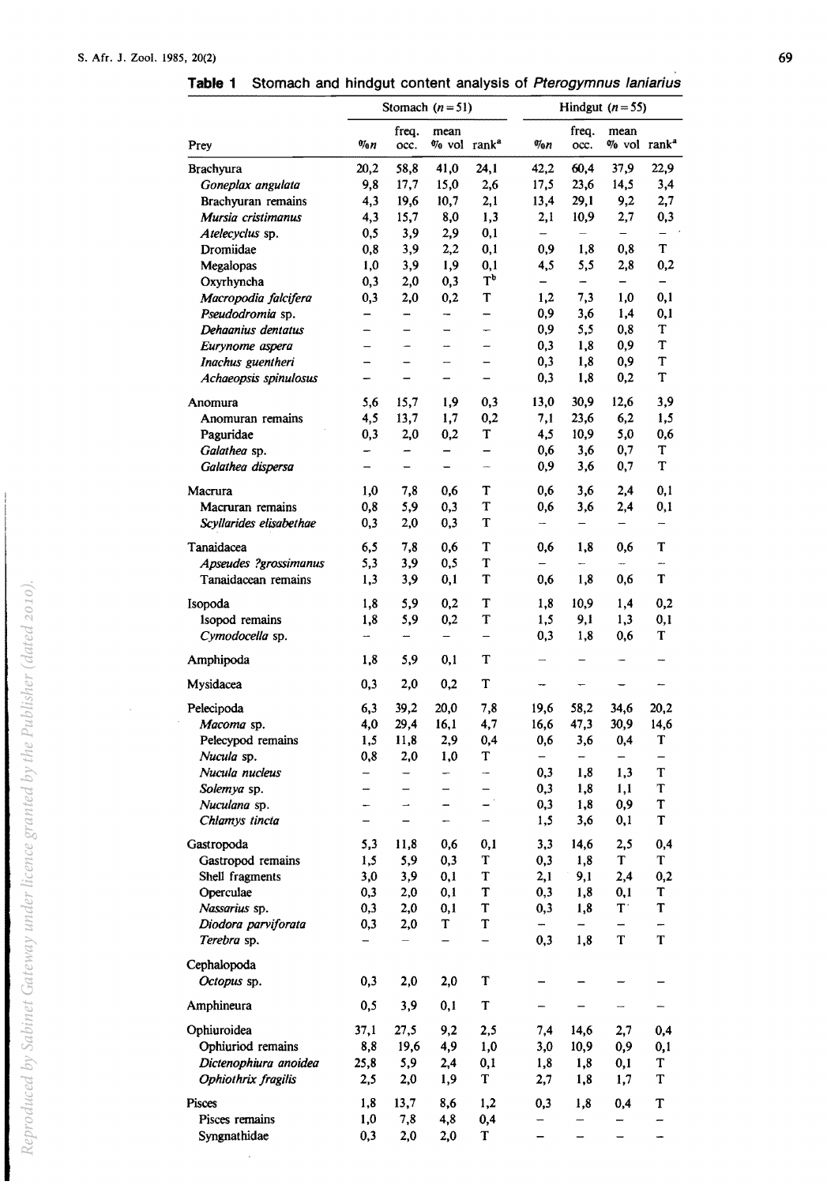**Table 1** Stomach and hindgut content analysis of Pterogymnus laniarius

|                         |                          |                          | Stomach $(n=51)$                |                   | Hindgut $(n=55)$         |                          |                                    |             |
|-------------------------|--------------------------|--------------------------|---------------------------------|-------------------|--------------------------|--------------------------|------------------------------------|-------------|
| Prey                    | $\eta_{0n}$              | freq.<br>occ.            | mean<br>% vol rank <sup>a</sup> |                   | $\eta_{0R}$              | freq.<br>occ.            | mean<br>$\%$ vol rank <sup>a</sup> |             |
| <b>Brachyura</b>        | 20,2                     | 58,8                     | 41,0                            | 24,1              | 42,2                     | 60,4                     | 37,9                               | 22,9        |
| Goneplax angulata       | 9,8                      | 17,7                     | 15,0                            | 2,6               | 17,5                     | 23,6                     | 14,5                               | 3,4         |
| Brachyuran remains      | 4,3                      | 19,6                     | 10,7                            | 2,1               | 13,4                     | 29,1                     | 9,2                                | 2,7         |
| Mursia cristimanus      | 4,3                      | 15,7                     | 8,0                             | 1,3               | 2,1                      | 10,9                     | 2,7                                | 0,3         |
| Atelecyclus sp.         | 0,5                      | 3,9                      | 2,9                             | 0,1               | $\overline{\phantom{0}}$ | $\overline{\phantom{a}}$ | -                                  |             |
| Dromiidae               | 0,8                      | 3,9                      | 2,2                             | 0,1               | 0,9                      | 1,8                      | 0,8                                | Т           |
| Megalopas               | 1,0                      | 3,9                      | 1,9                             | 0,1               | 4,5                      | 5,5                      | 2,8                                | 0,2         |
| Oxyrhyncha              | 0,3                      | 2,0                      | 0,3                             | T <sub>p</sub>    | -                        | -                        |                                    |             |
| Macropodia falcifera    | 0,3                      | 2,0                      | 0,2                             | T                 | 1,2                      | 7,3                      | 1,0                                | 0,1         |
| Pseudodromia sp.        |                          | -                        |                                 | --                | 0,9                      | 3,6                      | 1,4                                | 0,1         |
| Dehaanius dentatus      | -                        | -                        |                                 | w.                | 0,9                      | 5,5                      | 0,8                                | T           |
| Eurynome aspera         | -                        |                          | --                              | -                 | 0,3                      | 1,8                      | 0,9                                | T           |
| Inachus guentheri       | $\overline{\phantom{0}}$ | -                        | -                               | -                 | 0,3                      | 1,8                      | 0,9                                | T           |
|                         |                          |                          |                                 |                   |                          | 1,8                      | 0,2                                | $\mathbf T$ |
| Achaeopsis spinulosus   |                          |                          |                                 | -                 | 0,3                      |                          |                                    |             |
| Anomura                 | 5,6                      | 15,7                     | 1,9                             | 0,3               | 13,0                     | 30,9                     | 12,6                               | 3,9         |
| Anomuran remains        | 4,5                      | 13,7                     | 1,7                             | 0,2               | 7,1                      | 23,6                     | 6,2                                | 1,5         |
| Paguridae               | 0,3                      | 2,0                      | 0,2                             | T                 | 4,5                      | 10,9                     | 5,0                                | 0,6         |
| Galathea sp.            | -                        | -                        | ÷,                              | $\qquad \qquad -$ | 0,6                      | 3,6                      | 0,7                                | T           |
| Galathea dispersa       | -                        | -                        | -                               | ÷,                | 0,9                      | 3,6                      | 0,7                                | T           |
|                         |                          |                          |                                 |                   |                          |                          |                                    |             |
| Macrura                 | 1,0                      | 7,8                      | 0,6                             | т                 | 0,6                      | 3,6                      | 2,4                                | 0,1         |
| Macruran remains        | 0,8                      | 5,9                      | 0,3                             | T                 | 0,6                      | 3,6                      | 2,4                                | 0,1         |
| Scyllarides elisabethae | 0,3                      | 2,0                      | 0,3                             | T                 | $\overline{\phantom{0}}$ | -                        |                                    | -           |
| Tanaidacea              | 6,5                      | 7,8                      | 0,6                             | T                 | 0,6                      | 1,8                      | 0,6                                | T           |
| Apseudes ?grossimanus   | 5,3                      | 3,9                      | 0,5                             | T                 |                          | ⊷                        |                                    | m.          |
| Tanaidacean remains     | 1,3                      | 3,9                      | 0,1                             | T                 | 0,6                      | 1,8                      | 0,6                                | T           |
|                         |                          |                          |                                 |                   |                          |                          |                                    |             |
| Isopoda                 | 1,8                      | 5,9                      | 0,2                             | T                 | 1,8                      | 10,9                     | 1,4                                | 0,2         |
| Isopod remains          | 1,8                      | 5,9                      | 0,2                             | $\mathbf T$       | 1,5                      | 9,1                      | 1,3                                | 0,1         |
| Cymodocella sp.         | $\overline{\phantom{a}}$ | ÷,                       | -                               | -                 | 0,3                      | 1,8                      | 0,6                                | T           |
| Amphipoda               | 1,8                      | 5,9                      | 0,1                             | т                 |                          |                          |                                    |             |
| Mysidacea               | 0,3                      | 2,0                      | 0,2                             | T                 |                          |                          |                                    |             |
| Pelecipoda              | 6,3                      | 39,2                     | 20,0                            | 7,8               | 19,6                     | 58,2                     | 34,6                               | 20,2        |
| Macoma sp.              | 4,0                      | 29,4                     | 16,1                            | 4,7               | 16,6                     | 47,3                     | 30,9                               | 14,6        |
| Pelecypod remains       | 1,5                      | 11,8                     | 2,9                             | 0,4               | 0,6                      | 3,6                      | 0,4                                | T           |
| Nucula sp.              | 0,8                      | 2,0                      | 1,0                             | T                 | -                        | -                        |                                    |             |
| Nucula nucleus          | -                        | ----                     | -                               | $\overline{a}$    | 0,3                      | 1,8                      | 1,3                                | T           |
| Solemya sp.             | ÷,                       | —                        | $\qquad \qquad -$               | —                 | 0,3                      | 1,8                      | 1,1                                | T           |
| Nuculana sp.            | ÷                        | $\overline{\phantom{0}}$ | $\overline{\phantom{a}}$        |                   | 0,3                      | 1,8                      | 0,9                                | T           |
| Chlamys tincta          |                          |                          |                                 |                   | 1,5                      | 3,6                      | 0,1                                | T           |
|                         |                          |                          |                                 |                   |                          |                          |                                    |             |
| Gastropoda              | 5,3                      | 11,8                     | 0,6                             | 0,1               | 3,3                      | 14,6                     | 2,5                                | 0,4         |
| Gastropod remains       | 1,5                      | 5,9                      | 0,3                             | T                 | 0,3                      | 1,8                      | T                                  | $\mathbf T$ |
| Shell fragments         | 3,0                      | 3,9                      | 0,1                             | T                 | 2,1                      | 9,1                      | 2,4                                | 0,2         |
| Operculae               | 0,3                      | 2,0                      | 0,1                             | T                 | 0,3                      | 1,8                      | 0,1                                | T           |
| Nassarius sp.           | 0,3                      | 2,0                      | 0,1                             | T                 | 0,3                      | 1,8                      | $\mathbf{T}$                       | $\mathbf T$ |
| Diodora parviforata     | 0,3                      | 2,0                      | T                               | T                 | $\overline{\phantom{a}}$ | —                        | -                                  | -           |
| Terebra sp.             |                          | -                        | —                               | $\qquad \qquad -$ | 0,3                      | 1,8                      | T                                  | $\mathbf T$ |
| Cephalopoda             |                          |                          |                                 |                   |                          |                          |                                    |             |
| Octopus sp.             | 0,3                      | 2,0                      | 2,0                             | T                 |                          |                          |                                    |             |
| Amphineura              | 0,5                      | 3,9                      | 0,1                             | $\mathbf T$       |                          |                          |                                    |             |
| Ophiuroidea             | 37,1                     | 27,5                     | 9,2                             | 2,5               | 7,4                      | 14,6                     | 2,7                                | 0,4         |
| Ophiuriod remains       | 8,8                      | 19,6                     | 4,9                             | 1,0               | 3,0                      | 10,9                     | 0,9                                | 0,1         |
| Dictenophiura anoidea   | 25,8                     | 5,9                      | 2,4                             | 0,1               | 1,8                      | 1,8                      | 0,1                                | T           |
| Ophiothrix fragilis     |                          |                          |                                 | T                 |                          |                          |                                    | $\mathbf T$ |
|                         | 2,5                      | 2,0                      | 1,9                             |                   | 2,7                      | 1,8                      | 1,7                                |             |
| Pisces                  | 1,8                      | 13,7                     | 8,6                             | 1,2               | 0,3                      | 1,8                      | 0,4                                | T           |
| Pisces remains          | 1,0                      | 7,8                      | 4,8                             | 0,4               |                          |                          |                                    |             |
|                         |                          |                          |                                 |                   |                          |                          |                                    |             |

 $\sim$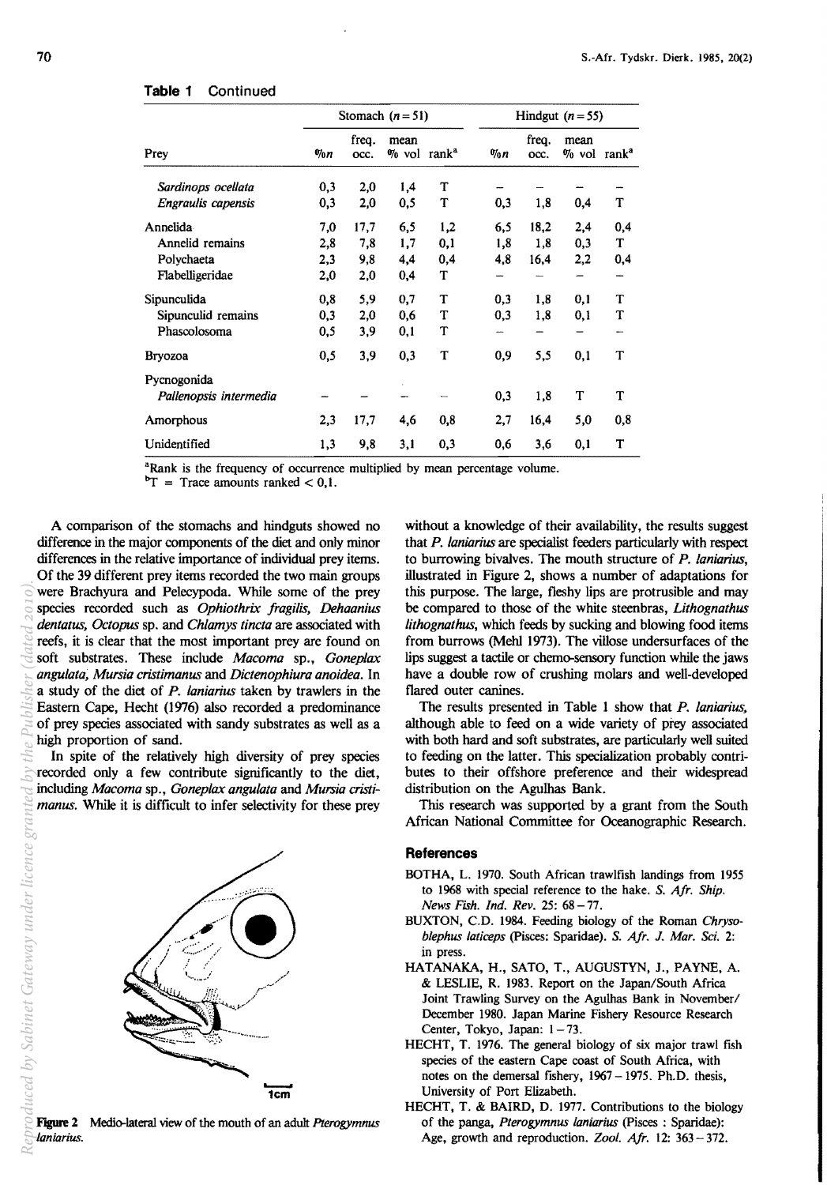## **Table 1** Continued

|                                       |             |               | Stomach $(n=51)$                   |     | Hindgut $(n = 55)$ |               |                                    |          |  |
|---------------------------------------|-------------|---------------|------------------------------------|-----|--------------------|---------------|------------------------------------|----------|--|
| Prev                                  | $\eta_{0n}$ | frea.<br>occ. | mean<br>$\%$ vol rank <sup>a</sup> |     | $\eta_{0}n$        | freq.<br>occ. | mean<br>$\%$ vol rank <sup>a</sup> |          |  |
| Sardinops ocellata                    | 0,3         | 2,0           | 1,4                                | T   |                    |               |                                    |          |  |
| Engraulis capensis                    | 0,3         | 2,0           | 0,5                                | T   | 0,3                | 1,8           | 0,4                                | T        |  |
| Annelida                              | 7,0         | 17,7          | 6,5                                | 1,2 | 6,5                | 18,2          | 2,4                                | 0,4      |  |
| Annelid remains                       | 2,8         | 7,8           | 1,7                                | 0,1 | 1,8                | 1,8           | 0,3                                | T        |  |
| Polychaeta                            | 2,3         | 9,8           | 4,4                                | 0,4 | 4,8                | 16,4          | 2,2                                | 0,4      |  |
| Flabelligeridae                       | 2,0         | 2,0           | 0,4                                | T   |                    |               |                                    |          |  |
| Sipunculida                           | 0,8         | 5,9           | 0,7                                | T   | 0,3                | 1,8           | 0,1                                | T        |  |
| Sipunculid remains                    | 0,3         | 2,0           | 0,6                                | T   | 0,3                | 1,8           | 0,1                                | T        |  |
| Phascolosoma                          | 0,5         | 3,9           | 0,1                                | T   |                    |               |                                    |          |  |
| <b>Bryozoa</b>                        | 0,5         | 3,9           | 0,3                                | T   | 0,9                | 5,5           | 0,1                                | T        |  |
| Pycnogonida<br>Pallenopsis intermedia |             |               |                                    |     | 0,3                | 1,8           | T                                  | T        |  |
| Amorphous                             | 2,3         | 17,7          | 4,6                                | 0,8 | 2,7                | 16,4          | 5,0                                | $_{0,8}$ |  |
| Unidentified                          | 1,3         | 9,8           | 3,1                                | 0,3 | 0,6                | 3,6           | 0,1                                | T        |  |

<sup>a</sup>Rank is the frequency of occurrence multiplied by mean percentage volume.

 ${}^{b}T$  = Trace amounts ranked < 0,1.

A comparison of the stomachs and hindguts showed no difference in the major components of the diet and only minor differences in the relative importance of individual prey items. Of the 39 different prey items recorded the two main groups were Brachyura and Pelecypoda. While some of the prey species recorded such as *Ophiothrix fragilis, Dehaanius dentatus, Octopus* sp. and *Chlamys tincta* are associated with reefs, it is clear that the most important prey are found on soft substrates. These include *Macoma* sp., *Goneplax angulata; Mursia cristimanus* and *Dictenophiura anoidea.* In a study of the diet of *P. laniarius* taken by trawlers in the Eastern Cape, Hecht (1976) also recorded a predominance of prey species associated with sandy substrates as well as a high proportion of sand. *Reproduced by Sabinet Gateway under licence granted by the Publisher (dated 2010).*

In spite of the relatively high diversity of prey species recorded only a few contribute significantly to the diet, including *Macoma* sp., *Goneplax angulata* and *Mursia cristimanus.* While it is difficult to infer selectivity for these prey



without a knowledge of their availability, the results suggest that *P. laniarius* are specialist feeders particularly with respect to burrowing bivalves. The mouth structure of *P. laniarius,*  illustrated in Figure 2, shows a number of adaptations for this purpose. The large, fleshy lips are protrusible and may be compared to those of the white steenbras, *Lithognathus lithognathus,* which feeds by sucking and blowing food items from burrows (Mehl 1973). The villose undersurfaces of the lips suggest a tactile or chemo-sensory function while the jaws have a double row of crushing molars and well-developed flared outer canines.

The results presented in Table 1 show that *P. laniarius,*  although able to feed on a wide variety of prey associated with both hard and soft substrates, are particularly well suited to feeding on the latter. This specialization probably contributes to their offshore preference and their widespread distribution on the Agulhas Bank.

This research was supported by a grant from the South African National Committee for Oceanographic Research.

## **References**

- BOTHA, L. 1970. South African trawlfish landings from 1955 to 1968 with special reference to the hake. S. *Afr. Ship. News Fish. Ind. Rev.* 25: 68-77.
- BUXTON, C.D. 1984. Feeding biology of the Roman *Chrysoblephus latieeps* (pisces: Sparidae). S. *Afr.* J. *Mar. Sci. 2:*  in press.
- HATANAKA, H., SATO, T., AUGUSTYN, J., PAYNE, A. & LESLIE, R. 1983. Report on the Japan/South Africa Joint Trawling Survey on *the* Agulhas Bank in November/ December 1980. Japan Marine Fishery Resource Research Center, Tokyo, Japan: 1-73.
- HECHT, T. 1976. The general biology of six major trawl fish species of the eastern Cape coast of South Africa, with notes on the demersal fishery,  $1967 - 1975$ . Ph.D. thesis, University of Port Elizabeth.
- HECHT, T. & BAIRD, D. 1977. Contributions to the biology of *the* panga, *Pterogymnus laniarius* (pisces : Sparidae): Age, growth and reproduction. *Zool. Afr.* 12: 363 - 372.

à,

luced by Sabinet Gateway under licence

Figure 1 Medio-lateral view of *the* mouth of an aduh *Pterogymnus laniarius.*